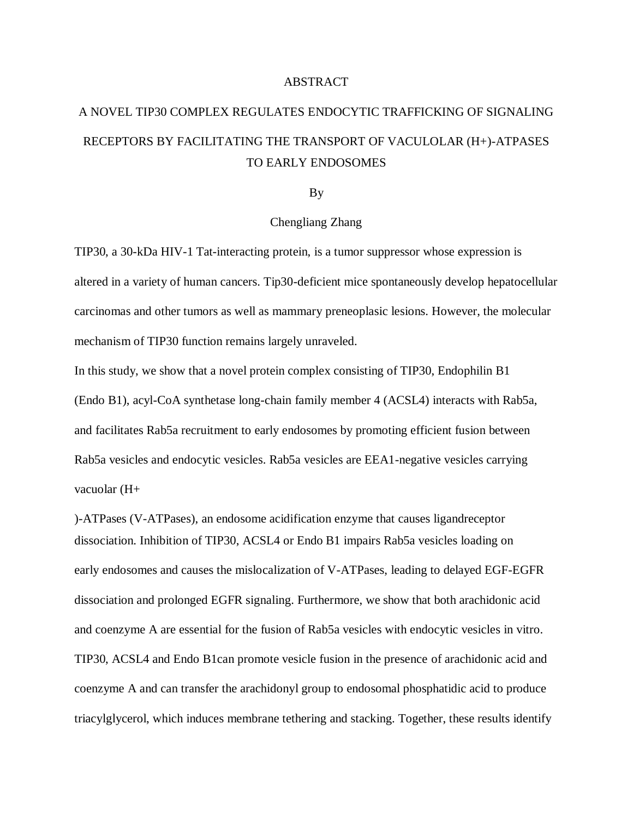## ABSTRACT

## A NOVEL TIP30 COMPLEX REGULATES ENDOCYTIC TRAFFICKING OF SIGNALING RECEPTORS BY FACILITATING THE TRANSPORT OF VACULOLAR (H+)-ATPASES TO EARLY ENDOSOMES

## By

## Chengliang Zhang

TIP30, a 30-kDa HIV-1 Tat-interacting protein, is a tumor suppressor whose expression is altered in a variety of human cancers. Tip30-deficient mice spontaneously develop hepatocellular carcinomas and other tumors as well as mammary preneoplasic lesions. However, the molecular mechanism of TIP30 function remains largely unraveled.

In this study, we show that a novel protein complex consisting of TIP30, Endophilin B1 (Endo B1), acyl-CoA synthetase long-chain family member 4 (ACSL4) interacts with Rab5a, and facilitates Rab5a recruitment to early endosomes by promoting efficient fusion between Rab5a vesicles and endocytic vesicles. Rab5a vesicles are EEA1-negative vesicles carrying vacuolar (H+

)-ATPases (V-ATPases), an endosome acidification enzyme that causes ligandreceptor dissociation. Inhibition of TIP30, ACSL4 or Endo B1 impairs Rab5a vesicles loading on early endosomes and causes the mislocalization of V-ATPases, leading to delayed EGF-EGFR dissociation and prolonged EGFR signaling. Furthermore, we show that both arachidonic acid and coenzyme A are essential for the fusion of Rab5a vesicles with endocytic vesicles in vitro. TIP30, ACSL4 and Endo B1can promote vesicle fusion in the presence of arachidonic acid and coenzyme A and can transfer the arachidonyl group to endosomal phosphatidic acid to produce triacylglycerol, which induces membrane tethering and stacking. Together, these results identify